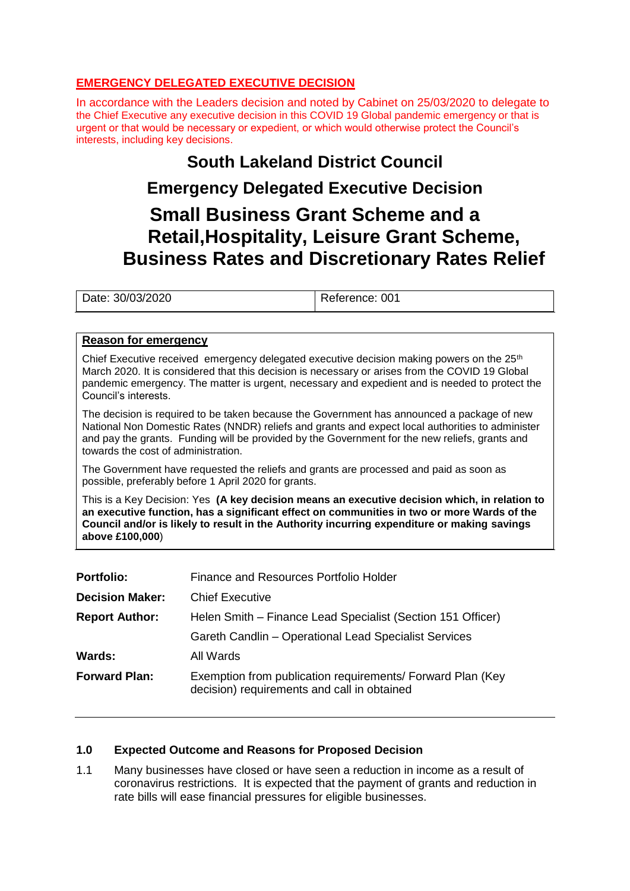# **EMERGENCY DELEGATED EXECUTIVE DECISION**

In accordance with the Leaders decision and noted by Cabinet on 25/03/2020 to delegate to the Chief Executive any executive decision in this COVID 19 Global pandemic emergency or that is urgent or that would be necessary or expedient, or which would otherwise protect the Council's interests, including key decisions.

# **South Lakeland District Council**

# **Emergency Delegated Executive Decision**

# **Small Business Grant Scheme and a Retail,Hospitality, Leisure Grant Scheme, Business Rates and Discretionary Rates Relief**

Date: 30/03/2020 Reference: 001

# **Reason for emergency**

Chief Executive received emergency delegated executive decision making powers on the  $25<sup>th</sup>$ March 2020. It is considered that this decision is necessary or arises from the COVID 19 Global pandemic emergency. The matter is urgent, necessary and expedient and is needed to protect the Council's interests.

The decision is required to be taken because the Government has announced a package of new National Non Domestic Rates (NNDR) reliefs and grants and expect local authorities to administer and pay the grants. Funding will be provided by the Government for the new reliefs, grants and towards the cost of administration.

The Government have requested the reliefs and grants are processed and paid as soon as possible, preferably before 1 April 2020 for grants.

This is a Key Decision: Yes **(A key decision means an executive decision which, in relation to an executive function, has a significant effect on communities in two or more Wards of the Council and/or is likely to result in the Authority incurring expenditure or making savings above £100,000**)

| <b>Portfolio:</b>      | Finance and Resources Portfolio Holder                                                                    |  |
|------------------------|-----------------------------------------------------------------------------------------------------------|--|
| <b>Decision Maker:</b> | <b>Chief Executive</b>                                                                                    |  |
| <b>Report Author:</b>  | Helen Smith – Finance Lead Specialist (Section 151 Officer)                                               |  |
|                        | Gareth Candlin - Operational Lead Specialist Services                                                     |  |
| Wards:                 | All Wards                                                                                                 |  |
| <b>Forward Plan:</b>   | Exemption from publication requirements/ Forward Plan (Key<br>decision) requirements and call in obtained |  |

# **1.0 Expected Outcome and Reasons for Proposed Decision**

1.1 Many businesses have closed or have seen a reduction in income as a result of coronavirus restrictions. It is expected that the payment of grants and reduction in rate bills will ease financial pressures for eligible businesses.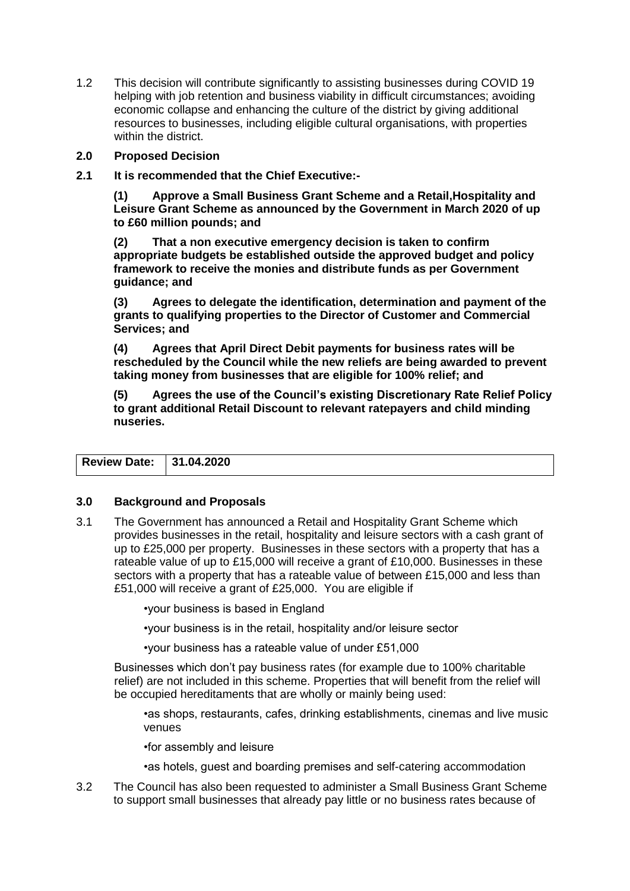1.2 This decision will contribute significantly to assisting businesses during COVID 19 helping with job retention and business viability in difficult circumstances; avoiding economic collapse and enhancing the culture of the district by giving additional resources to businesses, including eligible cultural organisations, with properties within the district.

# **2.0 Proposed Decision**

**2.1 It is recommended that the Chief Executive:-**

**(1) Approve a Small Business Grant Scheme and a Retail,Hospitality and Leisure Grant Scheme as announced by the Government in March 2020 of up to £60 million pounds; and**

**(2) That a non executive emergency decision is taken to confirm appropriate budgets be established outside the approved budget and policy framework to receive the monies and distribute funds as per Government guidance; and**

**(3) Agrees to delegate the identification, determination and payment of the grants to qualifying properties to the Director of Customer and Commercial Services; and**

**(4) Agrees that April Direct Debit payments for business rates will be rescheduled by the Council while the new reliefs are being awarded to prevent taking money from businesses that are eligible for 100% relief; and**

**(5) Agrees the use of the Council's existing Discretionary Rate Relief Policy to grant additional Retail Discount to relevant ratepayers and child minding nuseries.**

| Review Date: 31.04.2020 |  |
|-------------------------|--|
|                         |  |

# **3.0 Background and Proposals**

3.1 The Government has announced a Retail and Hospitality Grant Scheme which provides businesses in the retail, hospitality and leisure sectors with a cash grant of up to £25,000 per property. Businesses in these sectors with a property that has a rateable value of up to £15,000 will receive a grant of £10,000. Businesses in these sectors with a property that has a rateable value of between £15,000 and less than £51,000 will receive a grant of £25,000. You are eligible if

•your business is based in England

•your business is in the retail, hospitality and/or leisure sector

•your business has a rateable value of under £51,000

Businesses which don't pay business rates (for example due to 100% charitable relief) are not included in this scheme. Properties that will benefit from the relief will be occupied hereditaments that are wholly or mainly being used:

•as shops, restaurants, cafes, drinking establishments, cinemas and live music venues

•for assembly and leisure

•as hotels, guest and boarding premises and self-catering accommodation

3.2 The Council has also been requested to administer a Small Business Grant Scheme to support small businesses that already pay little or no business rates because of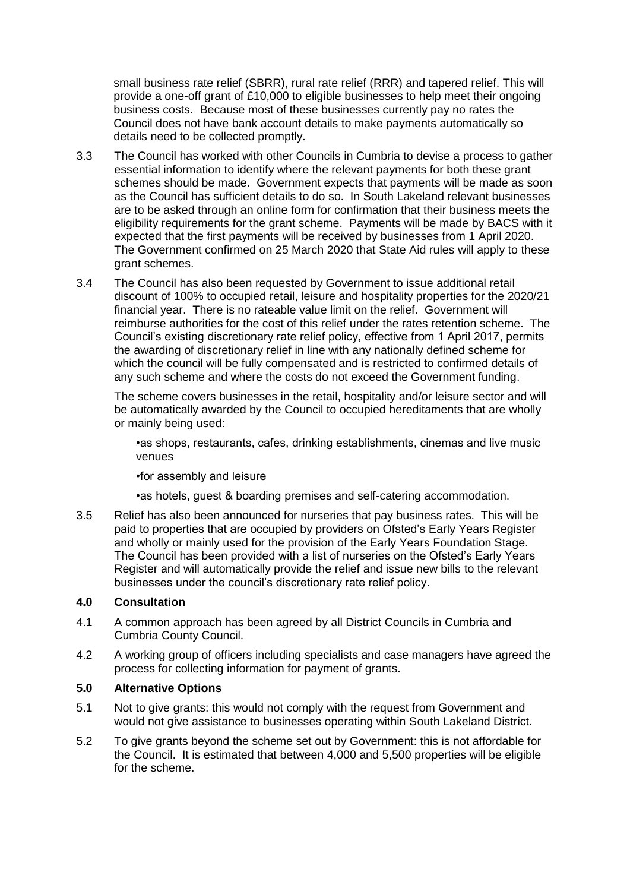small business rate relief (SBRR), rural rate relief (RRR) and tapered relief. This will provide a one-off grant of £10,000 to eligible businesses to help meet their ongoing business costs. Because most of these businesses currently pay no rates the Council does not have bank account details to make payments automatically so details need to be collected promptly.

- 3.3 The Council has worked with other Councils in Cumbria to devise a process to gather essential information to identify where the relevant payments for both these grant schemes should be made. Government expects that payments will be made as soon as the Council has sufficient details to do so. In South Lakeland relevant businesses are to be asked through an online form for confirmation that their business meets the eligibility requirements for the grant scheme. Payments will be made by BACS with it expected that the first payments will be received by businesses from 1 April 2020. The Government confirmed on 25 March 2020 that State Aid rules will apply to these grant schemes.
- 3.4 The Council has also been requested by Government to issue additional retail discount of 100% to occupied retail, leisure and hospitality properties for the 2020/21 financial year. There is no rateable value limit on the relief. Government will reimburse authorities for the cost of this relief under the rates retention scheme. The Council's existing discretionary rate relief policy, effective from 1 April 2017, permits the awarding of discretionary relief in line with any nationally defined scheme for which the council will be fully compensated and is restricted to confirmed details of any such scheme and where the costs do not exceed the Government funding.

The scheme covers businesses in the retail, hospitality and/or leisure sector and will be automatically awarded by the Council to occupied hereditaments that are wholly or mainly being used:

•as shops, restaurants, cafes, drinking establishments, cinemas and live music venues

•for assembly and leisure

•as hotels, guest & boarding premises and self-catering accommodation.

3.5 Relief has also been announced for nurseries that pay business rates. This will be paid to properties that are occupied by providers on Ofsted's Early Years Register and wholly or mainly used for the provision of the Early Years Foundation Stage. The Council has been provided with a list of nurseries on the Ofsted's Early Years Register and will automatically provide the relief and issue new bills to the relevant businesses under the council's discretionary rate relief policy.

# **4.0 Consultation**

- 4.1 A common approach has been agreed by all District Councils in Cumbria and Cumbria County Council.
- 4.2 A working group of officers including specialists and case managers have agreed the process for collecting information for payment of grants.

# **5.0 Alternative Options**

- 5.1 Not to give grants: this would not comply with the request from Government and would not give assistance to businesses operating within South Lakeland District.
- 5.2 To give grants beyond the scheme set out by Government: this is not affordable for the Council. It is estimated that between 4,000 and 5,500 properties will be eligible for the scheme.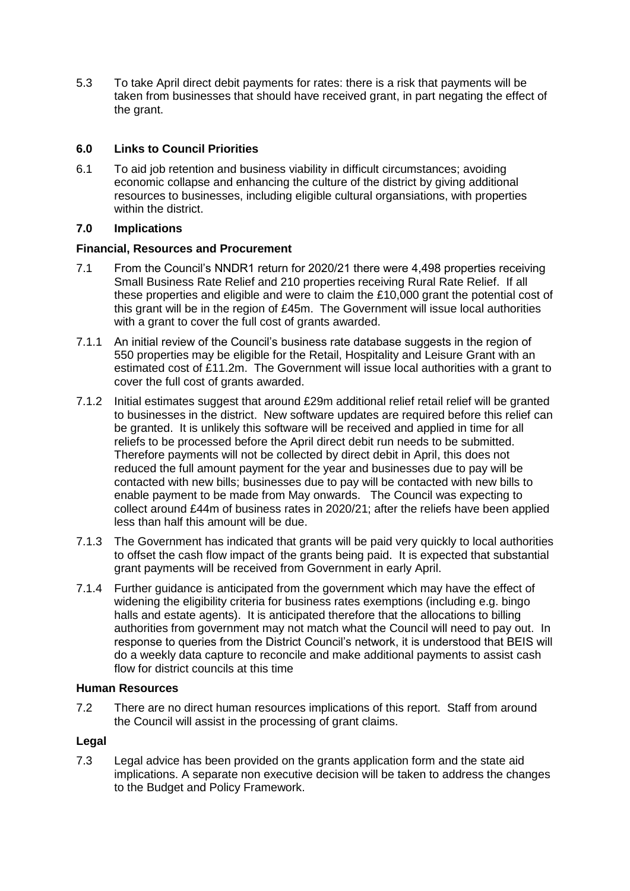5.3 To take April direct debit payments for rates: there is a risk that payments will be taken from businesses that should have received grant, in part negating the effect of the grant.

# **6.0 Links to Council Priorities**

6.1 To aid job retention and business viability in difficult circumstances; avoiding economic collapse and enhancing the culture of the district by giving additional resources to businesses, including eligible cultural organsiations, with properties within the district.

# **7.0 Implications**

# **Financial, Resources and Procurement**

- 7.1 From the Council's NNDR1 return for 2020/21 there were 4,498 properties receiving Small Business Rate Relief and 210 properties receiving Rural Rate Relief. If all these properties and eligible and were to claim the £10,000 grant the potential cost of this grant will be in the region of £45m. The Government will issue local authorities with a grant to cover the full cost of grants awarded.
- 7.1.1 An initial review of the Council's business rate database suggests in the region of 550 properties may be eligible for the Retail, Hospitality and Leisure Grant with an estimated cost of £11.2m. The Government will issue local authorities with a grant to cover the full cost of grants awarded.
- 7.1.2 Initial estimates suggest that around £29m additional relief retail relief will be granted to businesses in the district. New software updates are required before this relief can be granted. It is unlikely this software will be received and applied in time for all reliefs to be processed before the April direct debit run needs to be submitted. Therefore payments will not be collected by direct debit in April, this does not reduced the full amount payment for the year and businesses due to pay will be contacted with new bills; businesses due to pay will be contacted with new bills to enable payment to be made from May onwards. The Council was expecting to collect around £44m of business rates in 2020/21; after the reliefs have been applied less than half this amount will be due.
- 7.1.3 The Government has indicated that grants will be paid very quickly to local authorities to offset the cash flow impact of the grants being paid. It is expected that substantial grant payments will be received from Government in early April.
- 7.1.4 Further guidance is anticipated from the government which may have the effect of widening the eligibility criteria for business rates exemptions (including e.g. bingo halls and estate agents). It is anticipated therefore that the allocations to billing authorities from government may not match what the Council will need to pay out. In response to queries from the District Council's network, it is understood that BEIS will do a weekly data capture to reconcile and make additional payments to assist cash flow for district councils at this time

# **Human Resources**

7.2 There are no direct human resources implications of this report. Staff from around the Council will assist in the processing of grant claims.

# **Legal**

7.3 Legal advice has been provided on the grants application form and the state aid implications. A separate non executive decision will be taken to address the changes to the Budget and Policy Framework.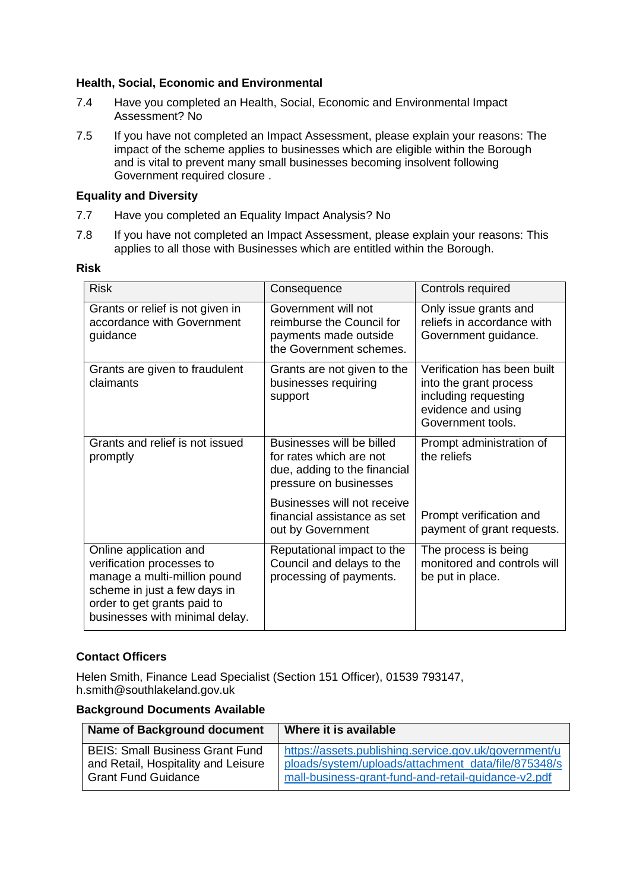# **Health, Social, Economic and Environmental**

- 7.4 Have you completed an Health, Social, Economic and Environmental Impact Assessment? No
- 7.5 If you have not completed an Impact Assessment, please explain your reasons: The impact of the scheme applies to businesses which are eligible within the Borough and is vital to prevent many small businesses becoming insolvent following Government required closure .

# **Equality and Diversity**

- 7.7 Have you completed an Equality Impact Analysis? No
- 7.8 If you have not completed an Impact Assessment, please explain your reasons: This applies to all those with Businesses which are entitled within the Borough.

#### **Risk**

| <b>Risk</b>                                                                                                                                                                          | Consequence                                                                                                    | Controls required                                                                                                        |
|--------------------------------------------------------------------------------------------------------------------------------------------------------------------------------------|----------------------------------------------------------------------------------------------------------------|--------------------------------------------------------------------------------------------------------------------------|
| Grants or relief is not given in<br>accordance with Government<br>guidance                                                                                                           | Government will not<br>reimburse the Council for<br>payments made outside<br>the Government schemes.           | Only issue grants and<br>reliefs in accordance with<br>Government guidance.                                              |
| Grants are given to fraudulent<br>claimants                                                                                                                                          | Grants are not given to the<br>businesses requiring<br>support                                                 | Verification has been built<br>into the grant process<br>including requesting<br>evidence and using<br>Government tools. |
| Grants and relief is not issued<br>promptly                                                                                                                                          | Businesses will be billed<br>for rates which are not<br>due, adding to the financial<br>pressure on businesses | Prompt administration of<br>the reliefs                                                                                  |
|                                                                                                                                                                                      | Businesses will not receive<br>financial assistance as set<br>out by Government                                | Prompt verification and<br>payment of grant requests.                                                                    |
| Online application and<br>verification processes to<br>manage a multi-million pound<br>scheme in just a few days in<br>order to get grants paid to<br>businesses with minimal delay. | Reputational impact to the<br>Council and delays to the<br>processing of payments.                             | The process is being<br>monitored and controls will<br>be put in place.                                                  |

# **Contact Officers**

Helen Smith, Finance Lead Specialist (Section 151 Officer), 01539 793147, h.smith@southlakeland.gov.uk

#### **Background Documents Available**

| Name of Background document            | Where it is available                                 |
|----------------------------------------|-------------------------------------------------------|
| <b>BEIS: Small Business Grant Fund</b> | https://assets.publishing.service.gov.uk/government/u |
| and Retail, Hospitality and Leisure    | ploads/system/uploads/attachment_data/file/875348/s   |
| <b>Grant Fund Guidance</b>             | mall-business-grant-fund-and-retail-guidance-v2.pdf   |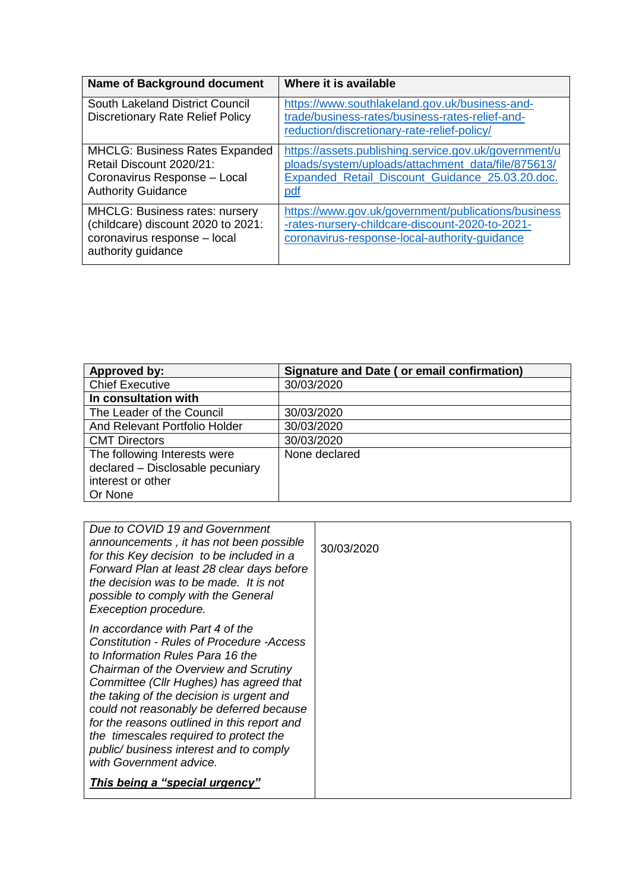| <b>Name of Background document</b>                                                                                                | Where it is available                                                                                                                                                        |
|-----------------------------------------------------------------------------------------------------------------------------------|------------------------------------------------------------------------------------------------------------------------------------------------------------------------------|
| South Lakeland District Council<br><b>Discretionary Rate Relief Policy</b>                                                        | https://www.southlakeland.gov.uk/business-and-<br>trade/business-rates/business-rates-relief-and-<br>reduction/discretionary-rate-relief-policy/                             |
| <b>MHCLG: Business Rates Expanded</b><br>Retail Discount 2020/21:<br>Coronavirus Response - Local<br><b>Authority Guidance</b>    | https://assets.publishing.service.gov.uk/government/u<br>ploads/system/uploads/attachment_data/file/875613/<br>Expanded_Retail_Discount_Guidance_25.03.20.doc.<br><u>pdf</u> |
| <b>MHCLG: Business rates: nursery</b><br>(childcare) discount 2020 to 2021:<br>coronavirus response - local<br>authority guidance | https://www.gov.uk/government/publications/business<br>-rates-nursery-childcare-discount-2020-to-2021-<br>coronavirus-response-local-authority-guidance                      |

| Approved by:                     | Signature and Date (or email confirmation) |
|----------------------------------|--------------------------------------------|
| <b>Chief Executive</b>           | 30/03/2020                                 |
| In consultation with             |                                            |
| The Leader of the Council        | 30/03/2020                                 |
| And Relevant Portfolio Holder    | 30/03/2020                                 |
| <b>CMT Directors</b>             | 30/03/2020                                 |
| The following Interests were     | None declared                              |
| declared - Disclosable pecuniary |                                            |
| interest or other                |                                            |
| Or None                          |                                            |

| Due to COVID 19 and Government<br>announcements, it has not been possible<br>for this Key decision to be included in a<br>Forward Plan at least 28 clear days before<br>the decision was to be made. It is not<br>possible to comply with the General<br>Exeception procedure.                                                                                                                                                                                      | 30/03/2020 |
|---------------------------------------------------------------------------------------------------------------------------------------------------------------------------------------------------------------------------------------------------------------------------------------------------------------------------------------------------------------------------------------------------------------------------------------------------------------------|------------|
| In accordance with Part 4 of the<br><b>Constitution - Rules of Procedure -Access</b><br>to Information Rules Para 16 the<br>Chairman of the Overview and Scrutiny<br>Committee (Cllr Hughes) has agreed that<br>the taking of the decision is urgent and<br>could not reasonably be deferred because<br>for the reasons outlined in this report and<br>the timescales required to protect the<br>public/ business interest and to comply<br>with Government advice. |            |
| This being a "special urgency"                                                                                                                                                                                                                                                                                                                                                                                                                                      |            |